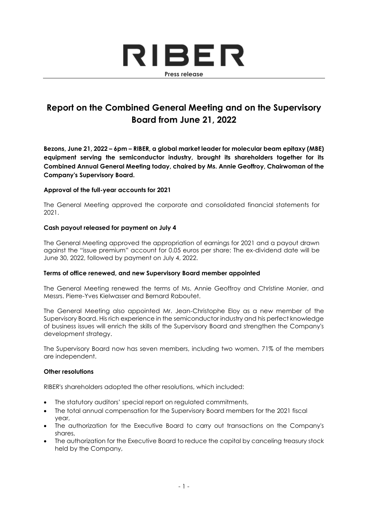

# **Report on the Combined General Meeting and on the Supervisory Board from June 21, 2022**

**Bezons, June 21, 2022 – 6pm – RIBER, a global market leader for molecular beam epitaxy (MBE) equipment serving the semiconductor industry, brought its shareholders together for its Combined Annual General Meeting today, chaired by Ms. Annie Geoffroy, Chairwoman of the Company's Supervisory Board.**

# **Approval of the full-year accounts for 2021**

The General Meeting approved the corporate and consolidated financial statements for 2021.

# **Cash payout released for payment on July 4**

The General Meeting approved the appropriation of earnings for 2021 and a payout drawn against the "issue premium" account for 0.05 euros per share: The ex-dividend date will be June 30, 2022, followed by payment on July 4, 2022.

### **Terms of office renewed, and new Supervisory Board member appointed**

The General Meeting renewed the terms of Ms. Annie Geoffroy and Christine Monier, and Messrs. Pierre-Yves Kielwasser and Bernard Raboutet.

The General Meeting also appointed Mr. Jean-Christophe Eloy as a new member of the Supervisory Board. His rich experience in the semiconductor industry and his perfect knowledge of business issues will enrich the skills of the Supervisory Board and strengthen the Company's development strategy.

The Supervisory Board now has seven members, including two women. 71% of the members are independent.

### **Other resolutions**

RIBER's shareholders adopted the other resolutions, which included:

- The statutory auditors' special report on regulated commitments,
- The total annual compensation for the Supervisory Board members for the 2021 fiscal year,
- The authorization for the Executive Board to carry out transactions on the Company's shares,
- The authorization for the Executive Board to reduce the capital by canceling treasury stock held by the Company,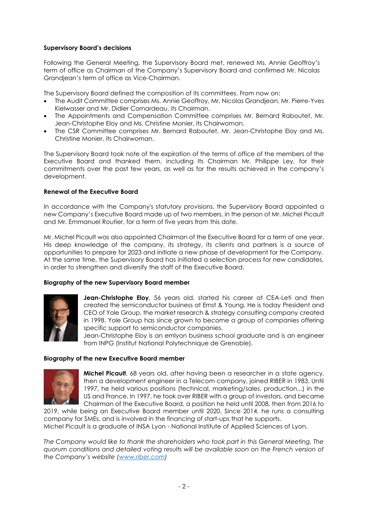# **Supervisory Board's decisions**

Following the General Meeting, the Supervisory Board met, renewed Ms. Annie Geoffroy's term of office as Chairman of the Company's Supervisory Board and confirmed Mr. Nicolas Grandjean's term of office as Vice-Chairman.

The Supervisory Board defined the composition of its committees. From now on:

- The Audit Committee comprises Ms. Annie Geoffroy, Mr. Nicolas Grandjean, Mr. Pierre-Yves Kielwasser and Mr. Didier Cornardeau, its Chairman.
- The Appointments and Compensation Committee comprises Mr. Bernard Raboutet, Mr. Jean-Christophe Eloy and Ms. Christine Monier, its Chairwoman.
- The CSR Committee comprises Mr. Bernard Raboutet, Mr. Jean-Christophe Eloy and Ms. Christine Monier, its Chairwoman.

The Supervisory Board took note of the expiration of the terms of office of the members of the Executive Board and thanked them, including Its Chairman Mr. Philippe Ley, for their commitments over the past few years, as well as for the results achieved in the company's development.

### **Renewal of the Executive Board**

In accordance with the Company's statutory provisions, the Supervisory Board appointed a new Company's Executive Board made up of two members, in the person of Mr. Michel Picault and Mr. Emmanuel Routier, for a term of five years from this date.

Mr. Michel Picault was also appointed Chairman of the Executive Board for a term of one year. His deep knowledge of the company, its strategy, its clients and partners is a source of opportunities to prepare for 2023 and initiate a new phase of development for the Company. At the same time, the Supervisory Board has initiated a selection process for new candidates, in order to strengthen and diversify the staff of the Executive Board.

### **Biography of the new Supervisory Board member**



**Jean-Christophe Eloy**, 56 years old, started his career at CEA-Leti and then created the semiconductor business at Ernst & Young. He is today President and CEO of Yole Group, the market research & strategy consulting company created in 1998. Yole Group has since grown to become a group of companies offering specific support to semiconductor companies.

Jean-Christophe Eloy is an emlyon business school graduate and is an engineer from INPG (Institut National Polytechnique de Grenoble).

#### **Biography of the new Executive Board member**



**Michel Picault**, 68 years old, after having been a researcher in a state agency, then a development engineer in a Telecom company, joined RIBER in 1983. Until 1997, he held various positions (technical, marketing/sales, production...) in the US and France. In 1997, he took over RIBER with a group of investors, and became Chairman of the Executive Board, a position he held until 2008, then from 2016 to

2019, while being an Executive Board member until 2020. Since 2014, he runs a consulting company for SMEs, and is involved in the financing of start-ups that he supports. Michel Picault is a graduate of INSA Lyon - National Institute of Applied Sciences of Lyon.

*The Company would like to thank the shareholders who took part in this General Meeting. The quorum conditions and detailed voting results will be available soon on the French version of the Company's website ([www.riber.com\)](http://www.riber.com/)*